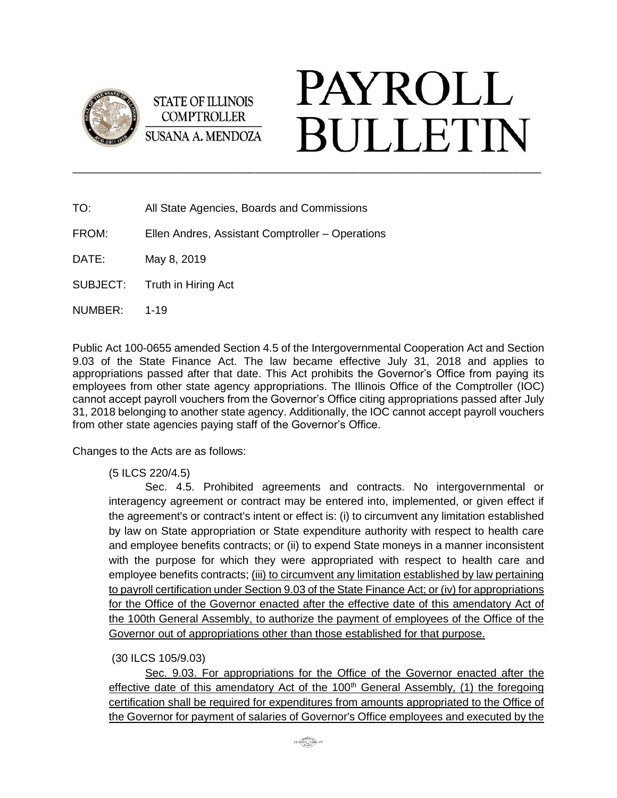

**STATE OF ILLINOIS COMPTROLLER SUSANA A. MENDOZA** 

## **PAYROLL BULLETIN**

- TO: All State Agencies, Boards and Commissions
- FROM: Ellen Andres, Assistant Comptroller Operations

DATE: May 8, 2019

SUBJECT: Truth in Hiring Act

NUMBER: 1-19

Public Act 100-0655 amended Section 4.5 of the Intergovernmental Cooperation Act and Section 9.03 of the State Finance Act. The law became effective July 31, 2018 and applies to appropriations passed after that date. This Act prohibits the Governor's Office from paying its employees from other state agency appropriations. The Illinois Office of the Comptroller (IOC) cannot accept payroll vouchers from the Governor's Office citing appropriations passed after July 31, 2018 belonging to another state agency. Additionally, the IOC cannot accept payroll vouchers from other state agencies paying staff of the Governor's Office.

\_\_\_\_\_\_\_\_\_\_\_\_\_\_\_\_\_\_\_\_\_\_\_\_\_\_\_\_\_\_\_\_\_\_\_\_\_\_\_\_\_\_\_\_\_\_\_\_\_\_\_\_\_\_\_\_\_\_\_\_\_\_\_\_\_\_\_\_\_\_\_\_\_\_\_\_\_\_\_\_\_\_\_\_\_

Changes to the Acts are as follows:

(5 ILCS 220/4.5)

Sec. 4.5. Prohibited agreements and contracts. No intergovernmental or interagency agreement or contract may be entered into, implemented, or given effect if the agreement's or contract's intent or effect is: (i) to circumvent any limitation established by law on State appropriation or State expenditure authority with respect to health care and employee benefits contracts; or (ii) to expend State moneys in a manner inconsistent with the purpose for which they were appropriated with respect to health care and employee benefits contracts; (iii) to circumvent any limitation established by law pertaining to payroll certification under Section 9.03 of the State Finance Act; or (iv) for appropriations for the Office of the Governor enacted after the effective date of this amendatory Act of the 100th General Assembly, to authorize the payment of employees of the Office of the Governor out of appropriations other than those established for that purpose.

## (30 ILCS 105/9.03)

Sec. 9.03. For appropriations for the Office of the Governor enacted after the effective date of this amendatory Act of the  $100<sup>th</sup>$  General Assembly, (1) the foregoing certification shall be required for expenditures from amounts appropriated to the Office of the Governor for payment of salaries of Governor's Office employees and executed by the